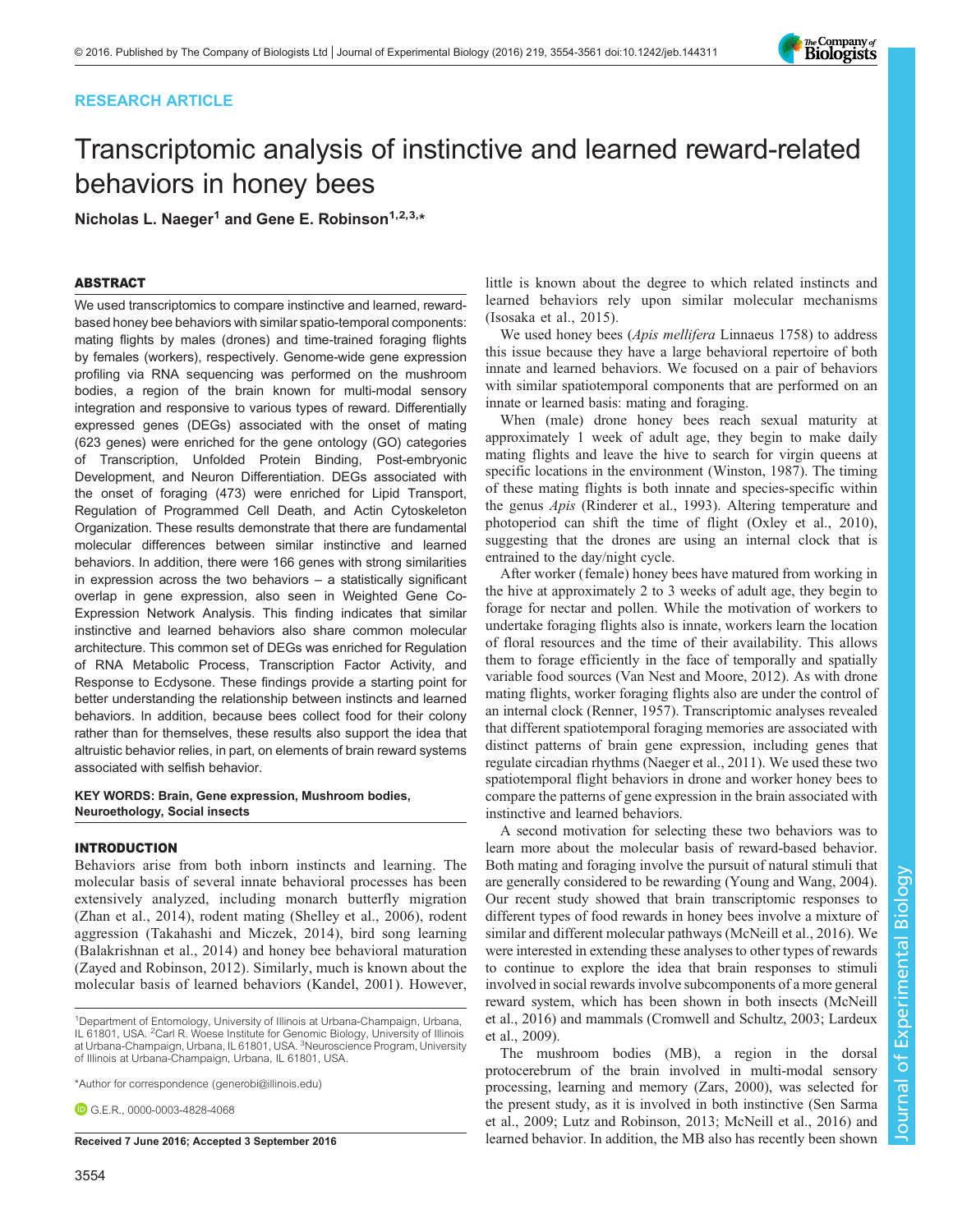# RESEARCH ARTICLE

# Transcriptomic analysis of instinctive and learned reward-related behaviors in honey bees

Nicholas L. Naeger<sup>1</sup> and Gene E. Robinson<sup>1,2,3,\*</sup>

# ABSTRACT

We used transcriptomics to compare instinctive and learned, rewardbased honey bee behaviors with similar spatio-temporal components: mating flights by males (drones) and time-trained foraging flights by females (workers), respectively. Genome-wide gene expression profiling via RNA sequencing was performed on the mushroom bodies, a region of the brain known for multi-modal sensory integration and responsive to various types of reward. Differentially expressed genes (DEGs) associated with the onset of mating (623 genes) were enriched for the gene ontology (GO) categories of Transcription, Unfolded Protein Binding, Post-embryonic Development, and Neuron Differentiation. DEGs associated with the onset of foraging (473) were enriched for Lipid Transport, Regulation of Programmed Cell Death, and Actin Cytoskeleton Organization. These results demonstrate that there are fundamental molecular differences between similar instinctive and learned behaviors. In addition, there were 166 genes with strong similarities in expression across the two behaviors – a statistically significant overlap in gene expression, also seen in Weighted Gene Co-Expression Network Analysis. This finding indicates that similar instinctive and learned behaviors also share common molecular architecture. This common set of DEGs was enriched for Regulation of RNA Metabolic Process, Transcription Factor Activity, and Response to Ecdysone. These findings provide a starting point for better understanding the relationship between instincts and learned behaviors. In addition, because bees collect food for their colony rather than for themselves, these results also support the idea that altruistic behavior relies, in part, on elements of brain reward systems associated with selfish behavior.

#### KEY WORDS: Brain, Gene expression, Mushroom bodies, Neuroethology, Social insects

#### INTRODUCTION

Behaviors arise from both inborn instincts and learning. The molecular basis of several innate behavioral processes has been extensively analyzed, including monarch butterfly migration [\(Zhan et al., 2014](#page-7-0)), rodent mating ([Shelley et al., 2006\)](#page-7-0), rodent aggression ([Takahashi and Miczek, 2014](#page-7-0)), bird song learning [\(Balakrishnan et al., 2014](#page-6-0)) and honey bee behavioral maturation [\(Zayed and Robinson, 2012\)](#page-7-0). Similarly, much is known about the molecular basis of learned behaviors [\(Kandel, 2001\)](#page-6-0). However,

\*Author for correspondence [\(generobi@illinois.edu\)](mailto:generobi@illinois.edu)

GER. [0000-0003-4828-4068](http://orcid.org/0000-0003-4828-4068)

little is known about the degree to which related instincts and learned behaviors rely upon similar molecular mechanisms [\(Isosaka et al., 2015](#page-6-0)).

We used honey bees (*Apis mellifera Linnaeus 1758*) to address this issue because they have a large behavioral repertoire of both innate and learned behaviors. We focused on a pair of behaviors with similar spatiotemporal components that are performed on an innate or learned basis: mating and foraging.

When (male) drone honey bees reach sexual maturity at approximately 1 week of adult age, they begin to make daily mating flights and leave the hive to search for virgin queens at specific locations in the environment [\(Winston, 1987\)](#page-7-0). The timing of these mating flights is both innate and species-specific within the genus Apis ([Rinderer et al., 1993\)](#page-7-0). Altering temperature and photoperiod can shift the time of flight [\(Oxley et al., 2010\)](#page-6-0), suggesting that the drones are using an internal clock that is entrained to the day/night cycle.

After worker (female) honey bees have matured from working in the hive at approximately 2 to 3 weeks of adult age, they begin to forage for nectar and pollen. While the motivation of workers to undertake foraging flights also is innate, workers learn the location of floral resources and the time of their availability. This allows them to forage efficiently in the face of temporally and spatially variable food sources ([Van Nest and Moore, 2012\)](#page-7-0). As with drone mating flights, worker foraging flights also are under the control of an internal clock [\(Renner, 1957](#page-6-0)). Transcriptomic analyses revealed that different spatiotemporal foraging memories are associated with distinct patterns of brain gene expression, including genes that regulate circadian rhythms [\(Naeger et al., 2011\)](#page-6-0). We used these two spatiotemporal flight behaviors in drone and worker honey bees to compare the patterns of gene expression in the brain associated with instinctive and learned behaviors.

A second motivation for selecting these two behaviors was to learn more about the molecular basis of reward-based behavior. Both mating and foraging involve the pursuit of natural stimuli that are generally considered to be rewarding ([Young and Wang, 2004\)](#page-7-0). Our recent study showed that brain transcriptomic responses to different types of food rewards in honey bees involve a mixture of similar and different molecular pathways [\(McNeill et al., 2016\)](#page-6-0). We were interested in extending these analyses to other types of rewards to continue to explore the idea that brain responses to stimuli involved in social rewards involve subcomponents of a more general reward system, which has been shown in both insects ([McNeill](#page-6-0) [et al., 2016\)](#page-6-0) and mammals ([Cromwell and Schultz, 2003](#page-6-0); [Lardeux](#page-6-0) [et al., 2009\)](#page-6-0).

The mushroom bodies (MB), a region in the dorsal protocerebrum of the brain involved in multi-modal sensory processing, learning and memory [\(Zars, 2000](#page-7-0)), was selected for the present study, as it is involved in both instinctive ([Sen Sarma](#page-7-0) [et al., 2009;](#page-7-0) [Lutz and Robinson, 2013; McNeill et al., 2016\)](#page-6-0) and Received 7 June 2016; Accepted 3 September 2016 learned behavior. In addition, the MB also has recently been shown



<sup>&</sup>lt;sup>1</sup>Department of Entomology, University of Illinois at Urbana-Champaign, Urbana, IL 61801, USA. <sup>2</sup>Carl R. Woese Institute for Genomic Biology, University of Illinois at Urbana-Champaign, Urbana, IL 61801, USA. <sup>3</sup>Neuroscience Program, University of Illinois at Urbana-Champaign, Urbana, IL 61801, USA.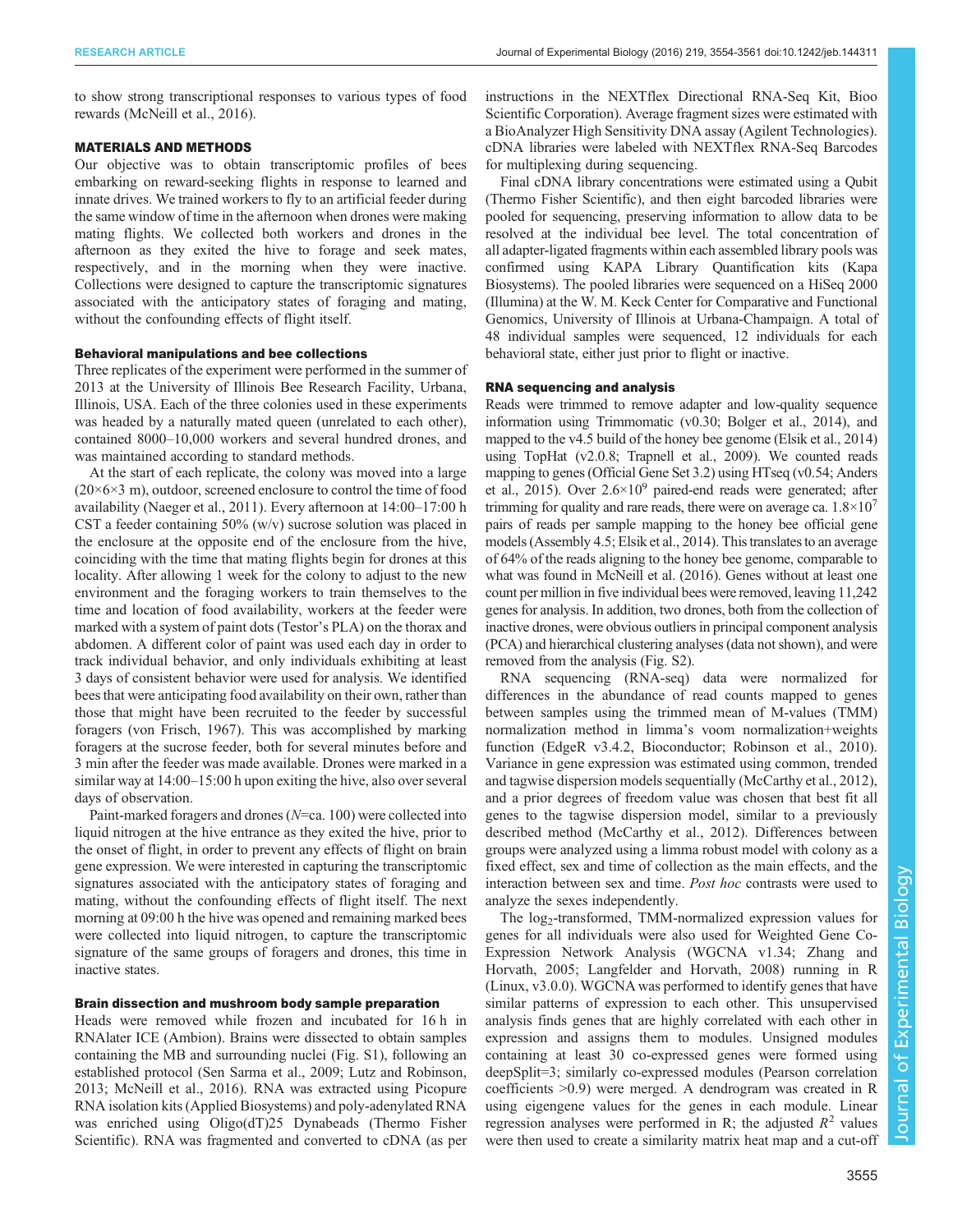to show strong transcriptional responses to various types of food rewards ([McNeill et al., 2016](#page-6-0)).

## MATERIALS AND METHODS

Our objective was to obtain transcriptomic profiles of bees embarking on reward-seeking flights in response to learned and innate drives. We trained workers to fly to an artificial feeder during the same window of time in the afternoon when drones were making mating flights. We collected both workers and drones in the afternoon as they exited the hive to forage and seek mates, respectively, and in the morning when they were inactive. Collections were designed to capture the transcriptomic signatures associated with the anticipatory states of foraging and mating, without the confounding effects of flight itself.

#### Behavioral manipulations and bee collections

Three replicates of the experiment were performed in the summer of 2013 at the University of Illinois Bee Research Facility, Urbana, Illinois, USA. Each of the three colonies used in these experiments was headed by a naturally mated queen (unrelated to each other), contained 8000–10,000 workers and several hundred drones, and was maintained according to standard methods.

At the start of each replicate, the colony was moved into a large  $(20\times6\times3)$  m), outdoor, screened enclosure to control the time of food availability [\(Naeger et al., 2011](#page-6-0)). Every afternoon at 14:00–17:00 h CST a feeder containing  $50\%$  (w/v) sucrose solution was placed in the enclosure at the opposite end of the enclosure from the hive, coinciding with the time that mating flights begin for drones at this locality. After allowing 1 week for the colony to adjust to the new environment and the foraging workers to train themselves to the time and location of food availability, workers at the feeder were marked with a system of paint dots (Testor's PLA) on the thorax and abdomen. A different color of paint was used each day in order to track individual behavior, and only individuals exhibiting at least 3 days of consistent behavior were used for analysis. We identified bees that were anticipating food availability on their own, rather than those that might have been recruited to the feeder by successful foragers [\(von Frisch, 1967\)](#page-7-0). This was accomplished by marking foragers at the sucrose feeder, both for several minutes before and 3 min after the feeder was made available. Drones were marked in a similar way at 14:00–15:00 h upon exiting the hive, also over several days of observation.

Paint-marked foragers and drones (N=ca. 100) were collected into liquid nitrogen at the hive entrance as they exited the hive, prior to the onset of flight, in order to prevent any effects of flight on brain gene expression. We were interested in capturing the transcriptomic signatures associated with the anticipatory states of foraging and mating, without the confounding effects of flight itself. The next morning at 09:00 h the hive was opened and remaining marked bees were collected into liquid nitrogen, to capture the transcriptomic signature of the same groups of foragers and drones, this time in inactive states.

## Brain dissection and mushroom body sample preparation

Heads were removed while frozen and incubated for 16 h in RNAlater ICE (Ambion). Brains were dissected to obtain samples containing the MB and surrounding nuclei [\(Fig. S1\)](http://jeb.biologists.org/lookup/doi/10.1242/jeb.144311.supplemental), following an established protocol [\(Sen Sarma et al., 2009](#page-7-0); [Lutz and Robinson,](#page-6-0) [2013](#page-6-0); [McNeill et al., 2016\)](#page-6-0). RNA was extracted using Picopure RNA isolation kits (Applied Biosystems) and poly-adenylated RNA was enriched using Oligo(dT)25 Dynabeads (Thermo Fisher Scientific). RNA was fragmented and converted to cDNA (as per

instructions in the NEXTflex Directional RNA-Seq Kit, Bioo Scientific Corporation). Average fragment sizes were estimated with a BioAnalyzer High Sensitivity DNA assay (Agilent Technologies). cDNA libraries were labeled with NEXTflex RNA-Seq Barcodes for multiplexing during sequencing.

Final cDNA library concentrations were estimated using a Qubit (Thermo Fisher Scientific), and then eight barcoded libraries were pooled for sequencing, preserving information to allow data to be resolved at the individual bee level. The total concentration of all adapter-ligated fragments within each assembled library pools was confirmed using KAPA Library Quantification kits (Kapa Biosystems). The pooled libraries were sequenced on a HiSeq 2000 (Illumina) at the W. M. Keck Center for Comparative and Functional Genomics, University of Illinois at Urbana-Champaign. A total of 48 individual samples were sequenced, 12 individuals for each behavioral state, either just prior to flight or inactive.

# RNA sequencing and analysis

Reads were trimmed to remove adapter and low-quality sequence information using Trimmomatic (v0.30; [Bolger et al., 2014](#page-6-0)), and mapped to the v4.5 build of the honey bee genome [\(Elsik et al., 2014\)](#page-6-0) using TopHat (v2.0.8; [Trapnell et al., 2009\)](#page-7-0). We counted reads mapping to genes (Official Gene Set 3.2) using HTseq (v0.54; [Anders](#page-6-0) [et al., 2015\)](#page-6-0). Over  $2.6 \times 10^9$  paired-end reads were generated; after trimming for quality and rare reads, there were on average ca.  $1.8\times10^{7}$ pairs of reads per sample mapping to the honey bee official gene models (Assembly 4.5; [Elsik et al., 2014\)](#page-6-0). This translates to an average of 64% of the reads aligning to the honey bee genome, comparable to what was found in [McNeill et al. \(2016\)](#page-6-0). Genes without at least one count per million in five individual bees were removed, leaving 11,242 genes for analysis. In addition, two drones, both from the collection of inactive drones, were obvious outliers in principal component analysis (PCA) and hierarchical clustering analyses (data not shown), and were removed from the analysis ([Fig. S2](http://jeb.biologists.org/lookup/doi/10.1242/jeb.144311.supplemental)).

RNA sequencing (RNA-seq) data were normalized for differences in the abundance of read counts mapped to genes between samples using the trimmed mean of M-values (TMM) normalization method in limma's voom normalization+weights function (EdgeR v3.4.2, Bioconductor; [Robinson et al., 2010\)](#page-7-0). Variance in gene expression was estimated using common, trended and tagwise dispersion models sequentially ([McCarthy et al., 2012\)](#page-6-0), and a prior degrees of freedom value was chosen that best fit all genes to the tagwise dispersion model, similar to a previously described method ([McCarthy et al., 2012\)](#page-6-0). Differences between groups were analyzed using a limma robust model with colony as a fixed effect, sex and time of collection as the main effects, and the interaction between sex and time. Post hoc contrasts were used to analyze the sexes independently.

The log<sub>2</sub>-transformed, TMM-normalized expression values for genes for all individuals were also used for Weighted Gene Co-Expression Network Analysis (WGCNA v1.34; [Zhang and](#page-7-0) [Horvath, 2005;](#page-7-0) [Langfelder and Horvath, 2008](#page-6-0)) running in R (Linux, v3.0.0). WGCNA was performed to identify genes that have similar patterns of expression to each other. This unsupervised analysis finds genes that are highly correlated with each other in expression and assigns them to modules. Unsigned modules containing at least 30 co-expressed genes were formed using deepSplit=3; similarly co-expressed modules (Pearson correlation coefficients >0.9) were merged. A dendrogram was created in R using eigengene values for the genes in each module. Linear regression analyses were performed in R; the adjusted  $R^2$  values were then used to create a similarity matrix heat map and a cut-off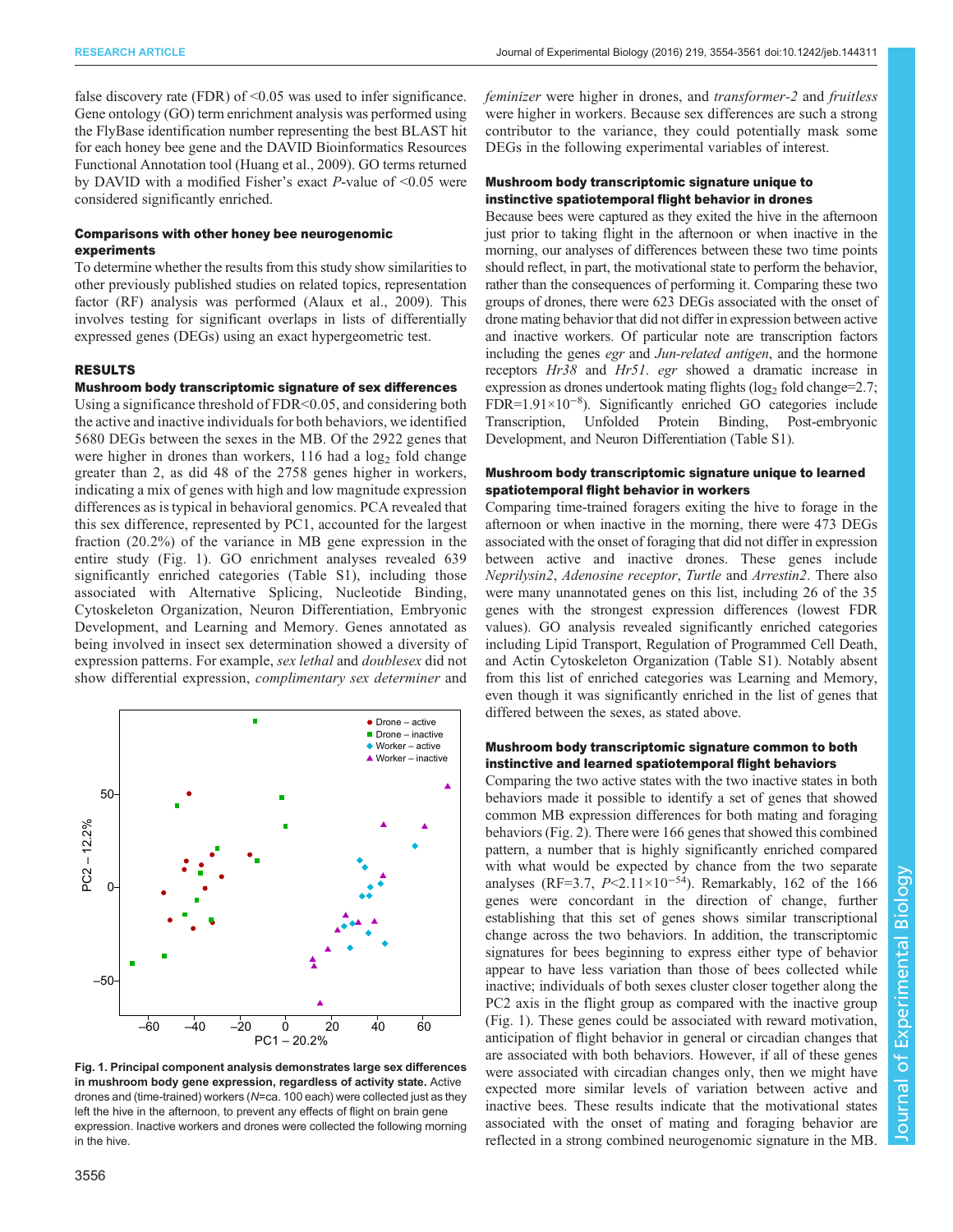false discovery rate (FDR) of  $\leq 0.05$  was used to infer significance. Gene ontology (GO) term enrichment analysis was performed using the FlyBase identification number representing the best BLAST hit for each honey bee gene and the DAVID Bioinformatics Resources Functional Annotation tool [\(Huang et al., 2009\)](#page-6-0). GO terms returned by DAVID with a modified Fisher's exact  $P$ -value of <0.05 were considered significantly enriched.

# Comparisons with other honey bee neurogenomic experiments

To determine whether the results from this study show similarities to other previously published studies on related topics, representation factor (RF) analysis was performed [\(Alaux et al., 2009\)](#page-6-0). This involves testing for significant overlaps in lists of differentially expressed genes (DEGs) using an exact hypergeometric test.

# RESULTS

# Mushroom body transcriptomic signature of sex differences

Using a significance threshold of FDR<0.05, and considering both the active and inactive individuals for both behaviors, we identified 5680 DEGs between the sexes in the MB. Of the 2922 genes that were higher in drones than workers,  $116$  had a  $log<sub>2</sub>$  fold change greater than 2, as did 48 of the 2758 genes higher in workers, indicating a mix of genes with high and low magnitude expression differences as is typical in behavioral genomics. PCA revealed that this sex difference, represented by PC1, accounted for the largest fraction (20.2%) of the variance in MB gene expression in the entire study (Fig. 1). GO enrichment analyses revealed 639 significantly enriched categories [\(Table S1](http://jeb.biologists.org/lookup/doi/10.1242/jeb.144311.supplemental)), including those associated with Alternative Splicing, Nucleotide Binding, Cytoskeleton Organization, Neuron Differentiation, Embryonic Development, and Learning and Memory. Genes annotated as being involved in insect sex determination showed a diversity of expression patterns. For example, sex lethal and doublesex did not show differential expression, complimentary sex determiner and



Fig. 1. Principal component analysis demonstrates large sex differences in mushroom body gene expression, regardless of activity state. Active drones and (time-trained) workers (N=ca. 100 each) were collected just as they left the hive in the afternoon, to prevent any effects of flight on brain gene expression. Inactive workers and drones were collected the following morning in the hive.

feminizer were higher in drones, and transformer-2 and fruitless were higher in workers. Because sex differences are such a strong contributor to the variance, they could potentially mask some DEGs in the following experimental variables of interest.

# Mushroom body transcriptomic signature unique to instinctive spatiotemporal flight behavior in drones

Because bees were captured as they exited the hive in the afternoon just prior to taking flight in the afternoon or when inactive in the morning, our analyses of differences between these two time points should reflect, in part, the motivational state to perform the behavior, rather than the consequences of performing it. Comparing these two groups of drones, there were 623 DEGs associated with the onset of drone mating behavior that did not differ in expression between active and inactive workers. Of particular note are transcription factors including the genes *egr* and *Jun-related antigen*, and the hormone receptors Hr38 and Hr51. egr showed a dramatic increase in expression as drones undertook mating flights  $(\log_2 6)$  fold change=2.7; FDR=1.91×10−<sup>8</sup> ). Significantly enriched GO categories include Transcription, Unfolded Protein Binding, Post-embryonic Development, and Neuron Differentiation [\(Table S1\)](http://jeb.biologists.org/lookup/doi/10.1242/jeb.144311.supplemental).

# Mushroom body transcriptomic signature unique to learned spatiotemporal flight behavior in workers

Comparing time-trained foragers exiting the hive to forage in the afternoon or when inactive in the morning, there were 473 DEGs associated with the onset of foraging that did not differ in expression between active and inactive drones. These genes include Neprilysin2, Adenosine receptor, Turtle and Arrestin2. There also were many unannotated genes on this list, including 26 of the 35 genes with the strongest expression differences (lowest FDR values). GO analysis revealed significantly enriched categories including Lipid Transport, Regulation of Programmed Cell Death, and Actin Cytoskeleton Organization [\(Table S1](http://jeb.biologists.org/lookup/doi/10.1242/jeb.144311.supplemental)). Notably absent from this list of enriched categories was Learning and Memory, even though it was significantly enriched in the list of genes that differed between the sexes, as stated above.

# Mushroom body transcriptomic signature common to both instinctive and learned spatiotemporal flight behaviors

Comparing the two active states with the two inactive states in both behaviors made it possible to identify a set of genes that showed common MB expression differences for both mating and foraging behaviors [\(Fig. 2](#page-3-0)). There were 166 genes that showed this combined pattern, a number that is highly significantly enriched compared with what would be expected by chance from the two separate analyses (RF=3.7,  $P \le 2.11 \times 10^{-54}$ ). Remarkably, 162 of the 166 genes were concordant in the direction of change, further establishing that this set of genes shows similar transcriptional change across the two behaviors. In addition, the transcriptomic signatures for bees beginning to express either type of behavior appear to have less variation than those of bees collected while inactive; individuals of both sexes cluster closer together along the PC2 axis in the flight group as compared with the inactive group (Fig. 1). These genes could be associated with reward motivation, anticipation of flight behavior in general or circadian changes that are associated with both behaviors. However, if all of these genes were associated with circadian changes only, then we might have expected more similar levels of variation between active and inactive bees. These results indicate that the motivational states associated with the onset of mating and foraging behavior are reflected in a strong combined neurogenomic signature in the MB.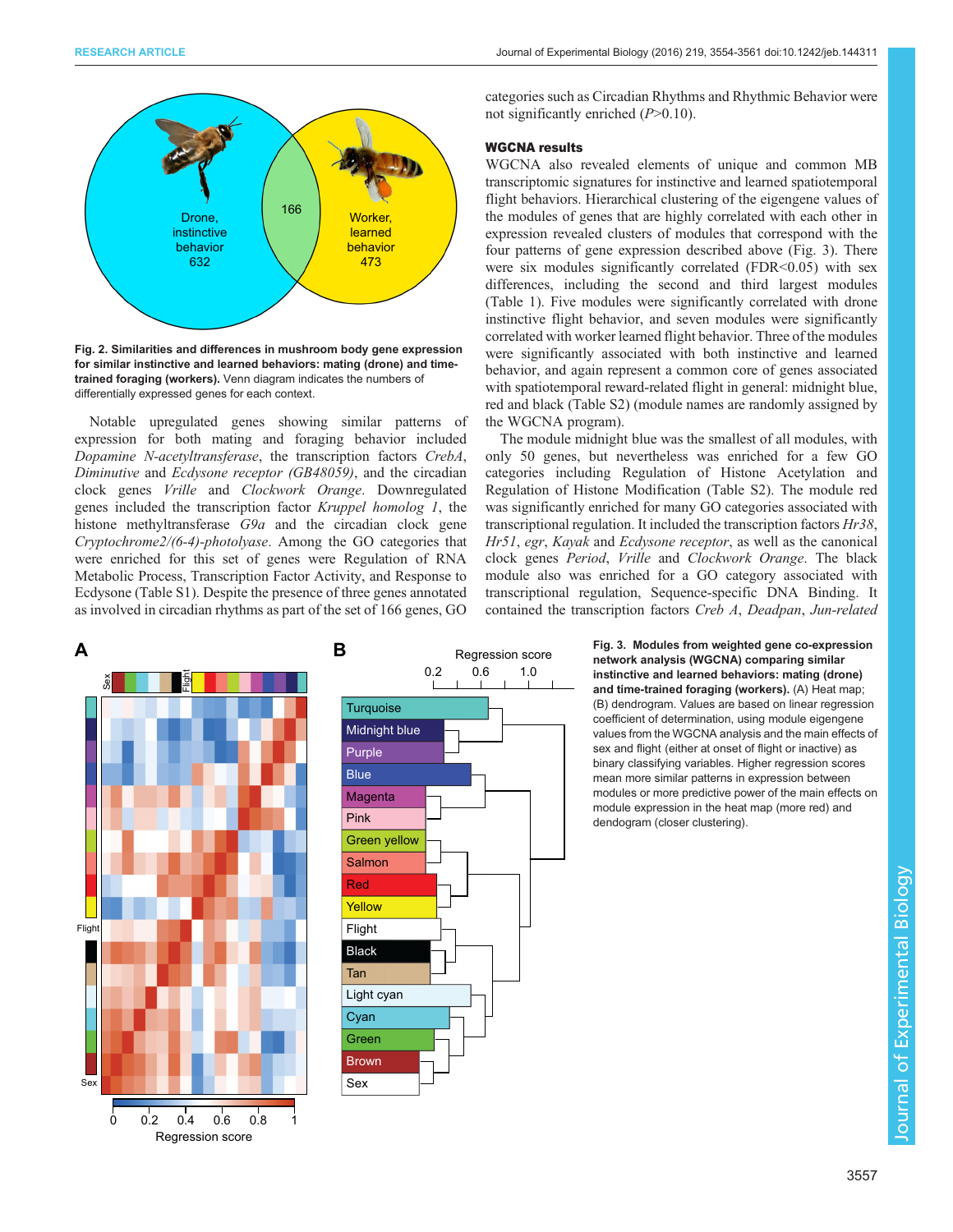<span id="page-3-0"></span>

Fig. 2. Similarities and differences in mushroom body gene expression for similar instinctive and learned behaviors: mating (drone) and timetrained foraging (workers). Venn diagram indicates the numbers of differentially expressed genes for each context.

Notable upregulated genes showing similar patterns of expression for both mating and foraging behavior included Dopamine N-acetyltransferase, the transcription factors CrebA, Diminutive and Ecdysone receptor (GB48059), and the circadian clock genes Vrille and Clockwork Orange. Downregulated genes included the transcription factor Kruppel homolog 1, the histone methyltransferase G9a and the circadian clock gene Cryptochrome2/(6-4)-photolyase. Among the GO categories that were enriched for this set of genes were Regulation of RNA Metabolic Process, Transcription Factor Activity, and Response to Ecdysone ([Table S1\)](http://jeb.biologists.org/lookup/doi/10.1242/jeb.144311.supplemental). Despite the presence of three genes annotated as involved in circadian rhythms as part of the set of 166 genes, GO

categories such as Circadian Rhythms and Rhythmic Behavior were not significantly enriched  $(P>0.10)$ .

# WGCNA results

WGCNA also revealed elements of unique and common MB transcriptomic signatures for instinctive and learned spatiotemporal flight behaviors. Hierarchical clustering of the eigengene values of the modules of genes that are highly correlated with each other in expression revealed clusters of modules that correspond with the four patterns of gene expression described above (Fig. 3). There were six modules significantly correlated (FDR<0.05) with sex differences, including the second and third largest modules [\(Table 1\)](#page-4-0). Five modules were significantly correlated with drone instinctive flight behavior, and seven modules were significantly correlated with worker learned flight behavior. Three of the modules were significantly associated with both instinctive and learned behavior, and again represent a common core of genes associated with spatiotemporal reward-related flight in general: midnight blue, red and black [\(Table S2\)](http://jeb.biologists.org/lookup/doi/10.1242/jeb.144311.supplemental) (module names are randomly assigned by the WGCNA program).

The module midnight blue was the smallest of all modules, with only 50 genes, but nevertheless was enriched for a few GO categories including Regulation of Histone Acetylation and Regulation of Histone Modification [\(Table S2](http://jeb.biologists.org/lookup/doi/10.1242/jeb.144311.supplemental)). The module red was significantly enriched for many GO categories associated with transcriptional regulation. It included the transcription factors Hr38, Hr51, egr, Kayak and Ecdysone receptor, as well as the canonical clock genes Period, Vrille and Clockwork Orange. The black module also was enriched for a GO category associated with transcriptional regulation, Sequence-specific DNA Binding. It contained the transcription factors Creb A, Deadpan, Jun-related



Fig. 3. Modules from weighted gene co-expression network analysis (WGCNA) comparing similar instinctive and learned behaviors: mating (drone) and time-trained foraging (workers). (A) Heat map; (B) dendrogram. Values are based on linear regression coefficient of determination, using module eigengene values from the WGCNA analysis and the main effects of sex and flight (either at onset of flight or inactive) as binary classifying variables. Higher regression scores mean more similar patterns in expression between modules or more predictive power of the main effects on module expression in the heat map (more red) and dendogram (closer clustering).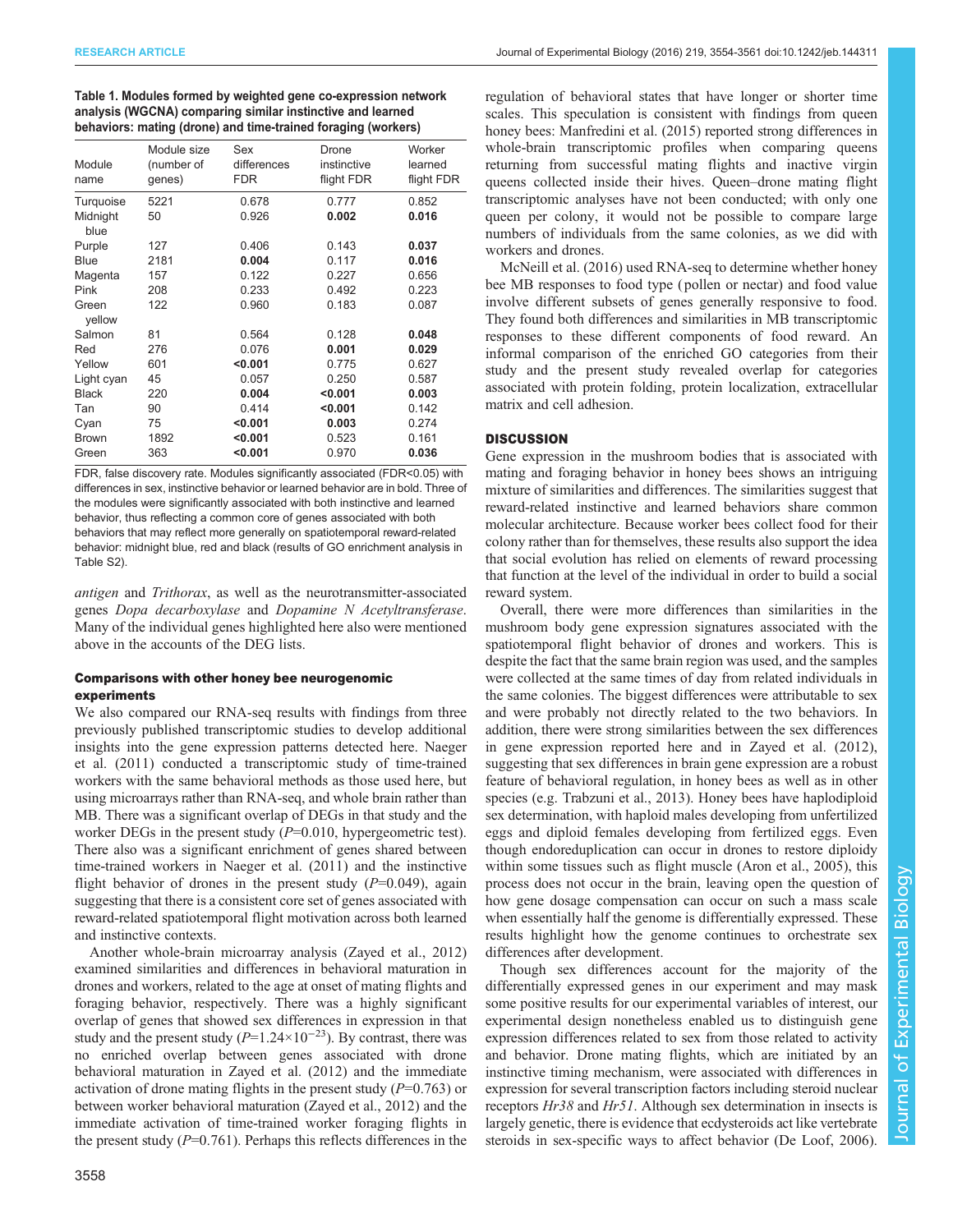<span id="page-4-0"></span>Table 1. Modules formed by weighted gene co-expression network analysis (WGCNA) comparing similar instinctive and learned behaviors: mating (drone) and time-trained foraging (workers)

| Module<br>name   | Module size<br>(number of<br>genes) | Sex<br>differences<br><b>FDR</b> | Drone<br>instinctive<br>flight FDR | Worker<br>learned<br>flight FDR |
|------------------|-------------------------------------|----------------------------------|------------------------------------|---------------------------------|
|                  |                                     |                                  |                                    |                                 |
| Turquoise        | 5221                                | 0.678                            | 0.777                              | 0.852                           |
| Midnight<br>blue | 50                                  | 0.926                            | 0.002                              | 0.016                           |
| Purple           | 127                                 | 0.406                            | 0.143                              | 0.037                           |
| Blue             | 2181                                | 0.004                            | 0.117                              | 0.016                           |
| Magenta          | 157                                 | 0.122                            | 0.227                              | 0.656                           |
| Pink             | 208                                 | 0.233                            | 0.492                              | 0.223                           |
| Green<br>yellow  | 122                                 | 0.960                            | 0.183                              | 0.087                           |
| Salmon           | 81                                  | 0.564                            | 0.128                              | 0.048                           |
| Red              | 276                                 | 0.076                            | 0.001                              | 0.029                           |
| Yellow           | 601                                 | < 0.001                          | 0.775                              | 0.627                           |
| Light cyan       | 45                                  | 0.057                            | 0.250                              | 0.587                           |
| <b>Black</b>     | 220                                 | 0.004                            | < 0.001                            | 0.003                           |
| Tan              | 90                                  | 0.414                            | < 0.001                            | 0.142                           |
| Cyan             | 75                                  | < 0.001                          | 0.003                              | 0.274                           |
| <b>Brown</b>     | 1892                                | < 0.001                          | 0.523                              | 0.161                           |
| Green            | 363                                 | < 0.001                          | 0.970                              | 0.036                           |

FDR, false discovery rate. Modules significantly associated (FDR<0.05) with differences in sex, instinctive behavior or learned behavior are in bold. Three of the modules were significantly associated with both instinctive and learned behavior, thus reflecting a common core of genes associated with both behaviors that may reflect more generally on spatiotemporal reward-related behavior: midnight blue, red and black (results of GO enrichment analysis in [Table S2\)](http://jeb.biologists.org/lookup/doi/10.1242/jeb.144311.supplemental).

antigen and Trithorax, as well as the neurotransmitter-associated genes Dopa decarboxylase and Dopamine N Acetyltransferase. Many of the individual genes highlighted here also were mentioned above in the accounts of the DEG lists.

## Comparisons with other honey bee neurogenomic experiments

We also compared our RNA-seq results with findings from three previously published transcriptomic studies to develop additional insights into the gene expression patterns detected here. [Naeger](#page-6-0) [et al. \(2011\)](#page-6-0) conducted a transcriptomic study of time-trained workers with the same behavioral methods as those used here, but using microarrays rather than RNA-seq, and whole brain rather than MB. There was a significant overlap of DEGs in that study and the worker DEGs in the present study  $(P=0.010,$  hypergeometric test). There also was a significant enrichment of genes shared between time-trained workers in [Naeger et al. \(2011\)](#page-6-0) and the instinctive flight behavior of drones in the present study  $(P=0.049)$ , again suggesting that there is a consistent core set of genes associated with reward-related spatiotemporal flight motivation across both learned and instinctive contexts.

Another whole-brain microarray analysis ([Zayed et al., 2012\)](#page-7-0) examined similarities and differences in behavioral maturation in drones and workers, related to the age at onset of mating flights and foraging behavior, respectively. There was a highly significant overlap of genes that showed sex differences in expression in that study and the present study ( $P=1.24\times10^{-23}$ ). By contrast, there was no enriched overlap between genes associated with drone behavioral maturation in [Zayed et al. \(2012\)](#page-7-0) and the immediate activation of drone mating flights in the present study  $(P=0.763)$  or between worker behavioral maturation [\(Zayed et al., 2012\)](#page-7-0) and the immediate activation of time-trained worker foraging flights in the present study  $(P=0.761)$ . Perhaps this reflects differences in the

regulation of behavioral states that have longer or shorter time scales. This speculation is consistent with findings from queen honey bees: [Manfredini et al. \(2015\)](#page-6-0) reported strong differences in whole-brain transcriptomic profiles when comparing queens returning from successful mating flights and inactive virgin queens collected inside their hives. Queen–drone mating flight transcriptomic analyses have not been conducted; with only one queen per colony, it would not be possible to compare large numbers of individuals from the same colonies, as we did with workers and drones.

[McNeill et al. \(2016\)](#page-6-0) used RNA-seq to determine whether honey bee MB responses to food type ( pollen or nectar) and food value involve different subsets of genes generally responsive to food. They found both differences and similarities in MB transcriptomic responses to these different components of food reward. An informal comparison of the enriched GO categories from their study and the present study revealed overlap for categories associated with protein folding, protein localization, extracellular matrix and cell adhesion.

## **DISCUSSION**

Gene expression in the mushroom bodies that is associated with mating and foraging behavior in honey bees shows an intriguing mixture of similarities and differences. The similarities suggest that reward-related instinctive and learned behaviors share common molecular architecture. Because worker bees collect food for their colony rather than for themselves, these results also support the idea that social evolution has relied on elements of reward processing that function at the level of the individual in order to build a social reward system.

Overall, there were more differences than similarities in the mushroom body gene expression signatures associated with the spatiotemporal flight behavior of drones and workers. This is despite the fact that the same brain region was used, and the samples were collected at the same times of day from related individuals in the same colonies. The biggest differences were attributable to sex and were probably not directly related to the two behaviors. In addition, there were strong similarities between the sex differences in gene expression reported here and in [Zayed et al. \(2012\),](#page-7-0) suggesting that sex differences in brain gene expression are a robust feature of behavioral regulation, in honey bees as well as in other species (e.g. [Trabzuni et al., 2013\)](#page-7-0). Honey bees have haplodiploid sex determination, with haploid males developing from unfertilized eggs and diploid females developing from fertilized eggs. Even though endoreduplication can occur in drones to restore diploidy within some tissues such as flight muscle ([Aron et al., 2005\)](#page-6-0), this process does not occur in the brain, leaving open the question of how gene dosage compensation can occur on such a mass scale when essentially half the genome is differentially expressed. These results highlight how the genome continues to orchestrate sex differences after development.

Though sex differences account for the majority of the differentially expressed genes in our experiment and may mask some positive results for our experimental variables of interest, our experimental design nonetheless enabled us to distinguish gene expression differences related to sex from those related to activity and behavior. Drone mating flights, which are initiated by an instinctive timing mechanism, were associated with differences in expression for several transcription factors including steroid nuclear receptors Hr38 and Hr51. Although sex determination in insects is largely genetic, there is evidence that ecdysteroids act like vertebrate steroids in sex-specific ways to affect behavior ([De Loof, 2006\)](#page-6-0).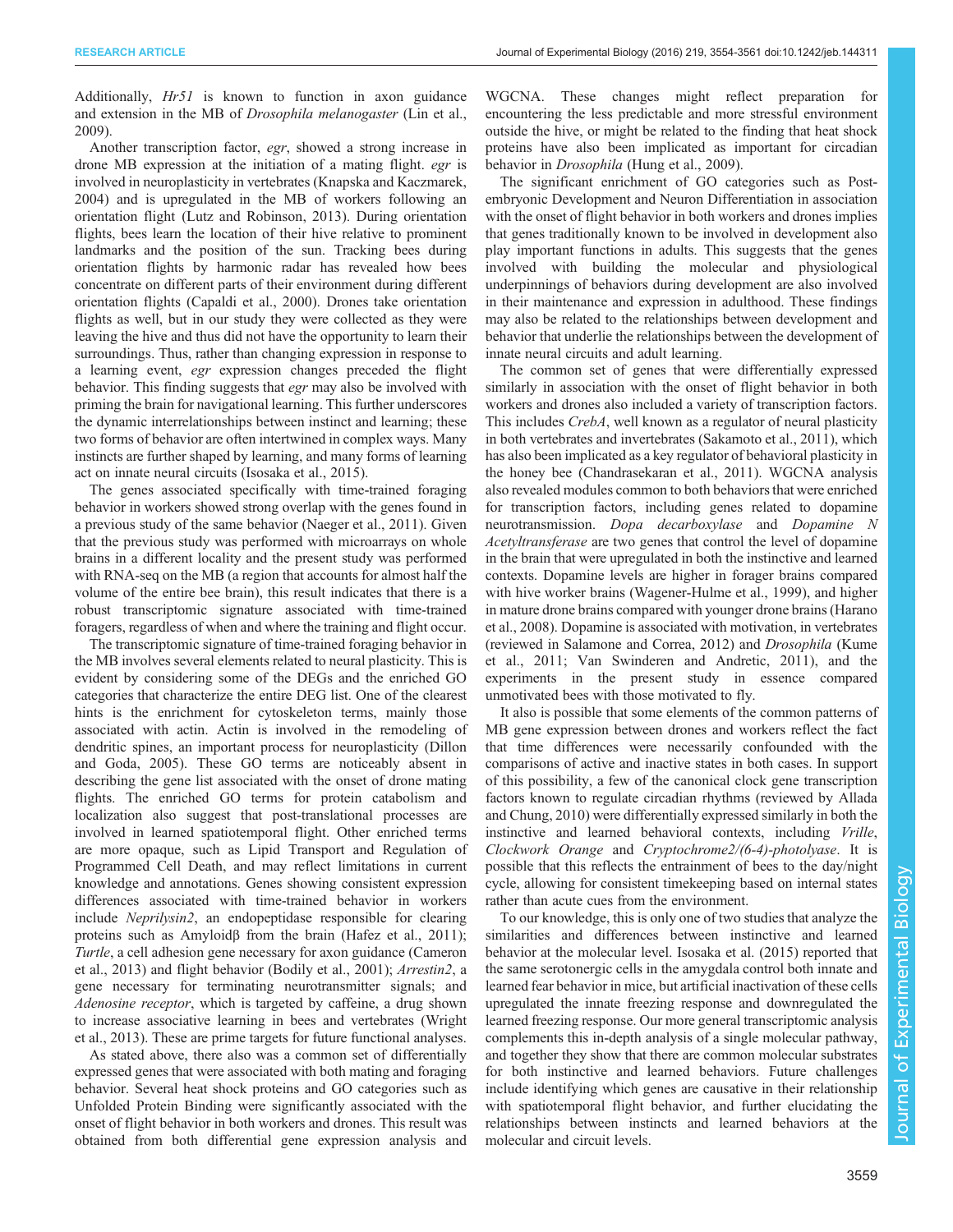Additionally, *Hr51* is known to function in axon guidance and extension in the MB of Drosophila melanogaster [\(Lin et al.,](#page-6-0) [2009](#page-6-0)).

Another transcription factor, egr, showed a strong increase in drone MB expression at the initiation of a mating flight. egr is involved in neuroplasticity in vertebrates [\(Knapska and Kaczmarek,](#page-6-0) [2004](#page-6-0)) and is upregulated in the MB of workers following an orientation flight ([Lutz and Robinson, 2013\)](#page-6-0). During orientation flights, bees learn the location of their hive relative to prominent landmarks and the position of the sun. Tracking bees during orientation flights by harmonic radar has revealed how bees concentrate on different parts of their environment during different orientation flights ([Capaldi et al., 2000\)](#page-6-0). Drones take orientation flights as well, but in our study they were collected as they were leaving the hive and thus did not have the opportunity to learn their surroundings. Thus, rather than changing expression in response to a learning event, egr expression changes preceded the flight behavior. This finding suggests that egr may also be involved with priming the brain for navigational learning. This further underscores the dynamic interrelationships between instinct and learning; these two forms of behavior are often intertwined in complex ways. Many instincts are further shaped by learning, and many forms of learning act on innate neural circuits [\(Isosaka et al., 2015\)](#page-6-0).

The genes associated specifically with time-trained foraging behavior in workers showed strong overlap with the genes found in a previous study of the same behavior [\(Naeger et al., 2011](#page-6-0)). Given that the previous study was performed with microarrays on whole brains in a different locality and the present study was performed with RNA-seq on the MB (a region that accounts for almost half the volume of the entire bee brain), this result indicates that there is a robust transcriptomic signature associated with time-trained foragers, regardless of when and where the training and flight occur.

The transcriptomic signature of time-trained foraging behavior in the MB involves several elements related to neural plasticity. This is evident by considering some of the DEGs and the enriched GO categories that characterize the entire DEG list. One of the clearest hints is the enrichment for cytoskeleton terms, mainly those associated with actin. Actin is involved in the remodeling of dendritic spines, an important process for neuroplasticity ([Dillon](#page-6-0) [and Goda, 2005](#page-6-0)). These GO terms are noticeably absent in describing the gene list associated with the onset of drone mating flights. The enriched GO terms for protein catabolism and localization also suggest that post-translational processes are involved in learned spatiotemporal flight. Other enriched terms are more opaque, such as Lipid Transport and Regulation of Programmed Cell Death, and may reflect limitations in current knowledge and annotations. Genes showing consistent expression differences associated with time-trained behavior in workers include Neprilysin2, an endopeptidase responsible for clearing proteins such as Amyloidβ from the brain [\(Hafez et al., 2011](#page-6-0)); Turtle, a cell adhesion gene necessary for axon guidance ([Cameron](#page-6-0) [et al., 2013](#page-6-0)) and flight behavior [\(Bodily et al., 2001\)](#page-6-0); Arrestin2, a gene necessary for terminating neurotransmitter signals; and Adenosine receptor, which is targeted by caffeine, a drug shown to increase associative learning in bees and vertebrates ([Wright](#page-7-0) [et al., 2013\)](#page-7-0). These are prime targets for future functional analyses.

As stated above, there also was a common set of differentially expressed genes that were associated with both mating and foraging behavior. Several heat shock proteins and GO categories such as Unfolded Protein Binding were significantly associated with the onset of flight behavior in both workers and drones. This result was obtained from both differential gene expression analysis and

WGCNA. These changes might reflect preparation for encountering the less predictable and more stressful environment outside the hive, or might be related to the finding that heat shock proteins have also been implicated as important for circadian behavior in Drosophila [\(Hung et al., 2009](#page-6-0)).

The significant enrichment of GO categories such as Postembryonic Development and Neuron Differentiation in association with the onset of flight behavior in both workers and drones implies that genes traditionally known to be involved in development also play important functions in adults. This suggests that the genes involved with building the molecular and physiological underpinnings of behaviors during development are also involved in their maintenance and expression in adulthood. These findings may also be related to the relationships between development and behavior that underlie the relationships between the development of innate neural circuits and adult learning.

The common set of genes that were differentially expressed similarly in association with the onset of flight behavior in both workers and drones also included a variety of transcription factors. This includes *CrebA*, well known as a regulator of neural plasticity in both vertebrates and invertebrates ([Sakamoto et al., 2011](#page-7-0)), which has also been implicated as a key regulator of behavioral plasticity in the honey bee ([Chandrasekaran et al., 2011\)](#page-6-0). WGCNA analysis also revealed modules common to both behaviors that were enriched for transcription factors, including genes related to dopamine neurotransmission. Dopa decarboxylase and Dopamine N Acetyltransferase are two genes that control the level of dopamine in the brain that were upregulated in both the instinctive and learned contexts. Dopamine levels are higher in forager brains compared with hive worker brains ([Wagener-Hulme et al., 1999](#page-7-0)), and higher in mature drone brains compared with younger drone brains [\(Harano](#page-6-0) [et al., 2008](#page-6-0)). Dopamine is associated with motivation, in vertebrates (reviewed in [Salamone and Correa, 2012\)](#page-7-0) and Drosophila ([Kume](#page-6-0) [et al., 2011](#page-6-0); [Van Swinderen and Andretic, 2011](#page-7-0)), and the experiments in the present study in essence compared unmotivated bees with those motivated to fly.

It also is possible that some elements of the common patterns of MB gene expression between drones and workers reflect the fact that time differences were necessarily confounded with the comparisons of active and inactive states in both cases. In support of this possibility, a few of the canonical clock gene transcription factors known to regulate circadian rhythms (reviewed by [Allada](#page-6-0) [and Chung, 2010](#page-6-0)) were differentially expressed similarly in both the instinctive and learned behavioral contexts, including Vrille, Clockwork Orange and Cryptochrome2/(6-4)-photolyase. It is possible that this reflects the entrainment of bees to the day/night cycle, allowing for consistent timekeeping based on internal states rather than acute cues from the environment.

To our knowledge, this is only one of two studies that analyze the similarities and differences between instinctive and learned behavior at the molecular level. [Isosaka et al. \(2015\)](#page-6-0) reported that the same serotonergic cells in the amygdala control both innate and learned fear behavior in mice, but artificial inactivation of these cells upregulated the innate freezing response and downregulated the learned freezing response. Our more general transcriptomic analysis complements this in-depth analysis of a single molecular pathway, and together they show that there are common molecular substrates for both instinctive and learned behaviors. Future challenges include identifying which genes are causative in their relationship with spatiotemporal flight behavior, and further elucidating the relationships between instincts and learned behaviors at the molecular and circuit levels.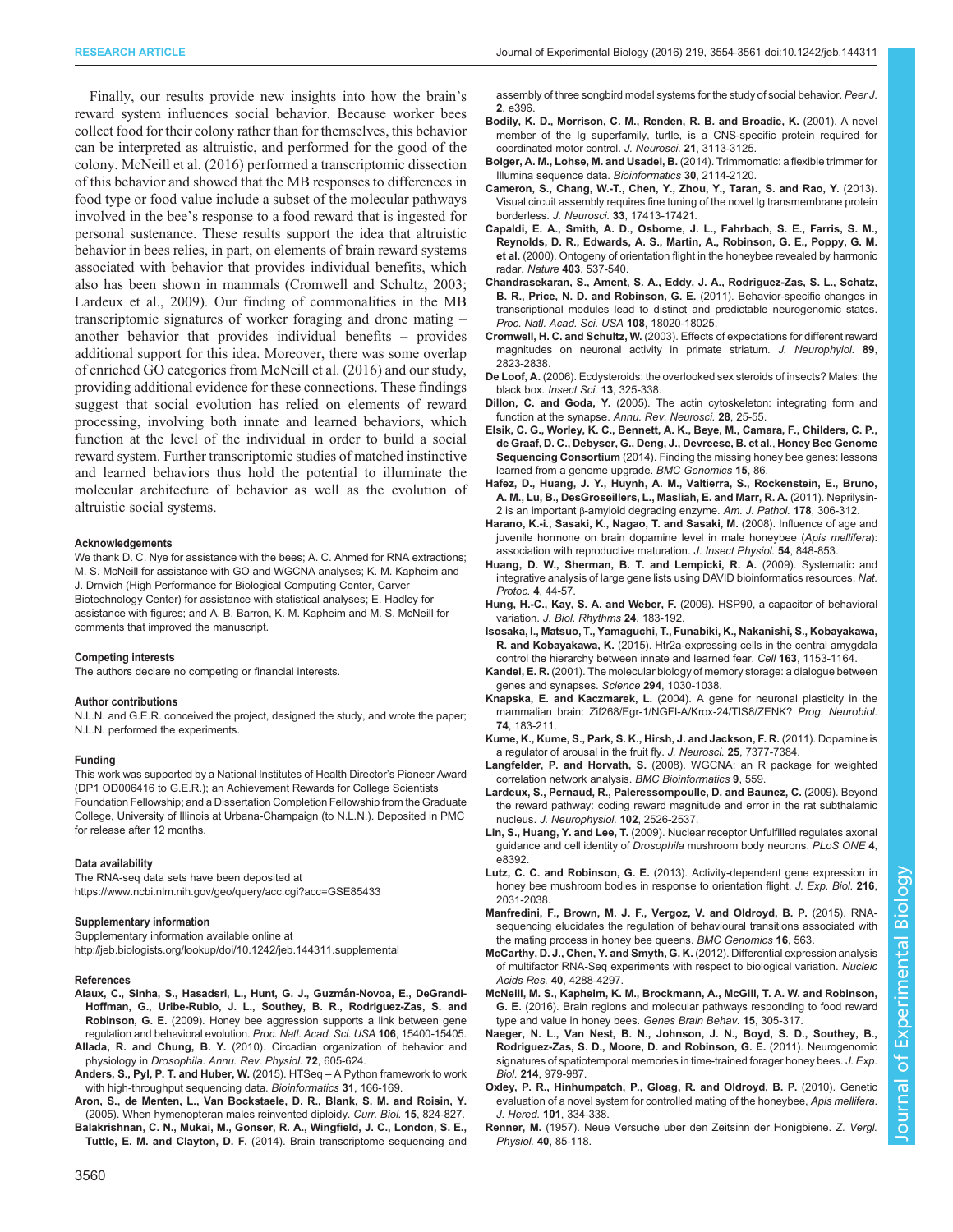<span id="page-6-0"></span>Finally, our results provide new insights into how the brain's reward system influences social behavior. Because worker bees collect food for their colony rather than for themselves, this behavior can be interpreted as altruistic, and performed for the good of the colony. McNeill et al. (2016) performed a transcriptomic dissection of this behavior and showed that the MB responses to differences in food type or food value include a subset of the molecular pathways involved in the bee's response to a food reward that is ingested for personal sustenance. These results support the idea that altruistic behavior in bees relies, in part, on elements of brain reward systems associated with behavior that provides individual benefits, which also has been shown in mammals (Cromwell and Schultz, 2003; Lardeux et al., 2009). Our finding of commonalities in the MB transcriptomic signatures of worker foraging and drone mating – another behavior that provides individual benefits – provides additional support for this idea. Moreover, there was some overlap of enriched GO categories from McNeill et al. (2016) and our study, providing additional evidence for these connections. These findings suggest that social evolution has relied on elements of reward processing, involving both innate and learned behaviors, which function at the level of the individual in order to build a social reward system. Further transcriptomic studies of matched instinctive and learned behaviors thus hold the potential to illuminate the molecular architecture of behavior as well as the evolution of altruistic social systems.

#### Acknowledgements

We thank D. C. Nye for assistance with the bees; A. C. Ahmed for RNA extractions; M. S. McNeill for assistance with GO and WGCNA analyses; K. M. Kapheim and J. Drnvich (High Performance for Biological Computing Center, Carver Biotechnology Center) for assistance with statistical analyses; E. Hadley for assistance with figures; and A. B. Barron, K. M. Kapheim and M. S. McNeill for comments that improved the manuscript.

#### Competing interests

The authors declare no competing or financial interests.

#### Author contributions

N.L.N. and G.E.R. conceived the project, designed the study, and wrote the paper; N.L.N. performed the experiments.

#### Funding

This work was supported by a National Institutes of Health Director's Pioneer Award (DP1 OD006416 to G.E.R.); an Achievement Rewards for College Scientists Foundation Fellowship; and a Dissertation Completion Fellowship from the Graduate College, University of Illinois at Urbana-Champaign (to N.L.N.). Deposited in PMC for release after 12 months.

#### Data availability

The RNA-seq data sets have been deposited at <https://www.ncbi.nlm.nih.gov/geo/query/acc.cgi?acc=GSE85433>

#### Supplementary information

Supplementary information available online at <http://jeb.biologists.org/lookup/doi/10.1242/jeb.144311.supplemental>

#### References

- Alaux, C., Sinha, S., Hasadsri, L., Hunt, G. J., Guzmán-Novoa, E., DeGrandi-[Hoffman, G., Uribe-Rubio, J. L., Southey, B. R., Rodriguez-Zas, S. and](http://dx.doi.org/10.1073/pnas.0907043106) Robinson, G. E. [\(2009\). Honey bee aggression supports a link between gene](http://dx.doi.org/10.1073/pnas.0907043106) [regulation and behavioral evolution.](http://dx.doi.org/10.1073/pnas.0907043106) Proc. Natl. Acad. Sci. USA 106, 15400-15405.
- Allada, R. and Chung, B. Y. [\(2010\). Circadian organization of behavior and](http://dx.doi.org/10.1146/annurev-physiol-021909-135815) physiology in Drosophila. [Annu. Rev. Physiol.](http://dx.doi.org/10.1146/annurev-physiol-021909-135815) 72, 605-624.
- [Anders, S., Pyl, P. T. and Huber, W.](http://dx.doi.org/10.1093/bioinformatics/btu638) (2015). HTSeq A Python framework to work [with high-throughput sequencing data.](http://dx.doi.org/10.1093/bioinformatics/btu638) Bioinformatics 31, 166-169.
- [Aron, S., de Menten, L., Van Bockstaele, D. R., Blank, S. M. and Roisin, Y.](http://dx.doi.org/10.1016/j.cub.2005.03.017) [\(2005\). When hymenopteran males reinvented diploidy.](http://dx.doi.org/10.1016/j.cub.2005.03.017) Curr. Biol. 15, 824-827.
- [Balakrishnan, C. N., Mukai, M., Gonser, R. A., Wingfield, J. C., London, S. E.,](http://dx.doi.org/10.7717/peerj.396) Tuttle, E. M. and Clayton, D. F. [\(2014\). Brain transcriptome sequencing and](http://dx.doi.org/10.7717/peerj.396)

[assembly of three songbird model systems for the study of social behavior.](http://dx.doi.org/10.7717/peerj.396) Peer J. 2[, e396.](http://dx.doi.org/10.7717/peerj.396)

- Bodily, K. D., Morrison, C. M., Renden, R. B. and Broadie, K. (2001). A novel member of the Ig superfamily, turtle, is a CNS-specific protein required for coordinated motor control. J. Neurosci. 21, 3113-3125.
- Bolger, A. M., Lohse, M. and Usadel, B. [\(2014\). Trimmomatic: a flexible trimmer for](http://dx.doi.org/10.1093/bioinformatics/btu170) [Illumina sequence data.](http://dx.doi.org/10.1093/bioinformatics/btu170) Bioinformatics 30, 2114-2120.
- [Cameron, S., Chang, W.-T., Chen, Y., Zhou, Y., Taran, S. and Rao, Y.](http://dx.doi.org/10.1523/JNEUROSCI.1878-13.2013) (2013). [Visual circuit assembly requires fine tuning of the novel Ig transmembrane protein](http://dx.doi.org/10.1523/JNEUROSCI.1878-13.2013) borderless. J. Neurosci. 33[, 17413-17421.](http://dx.doi.org/10.1523/JNEUROSCI.1878-13.2013)
- [Capaldi, E. A., Smith, A. D., Osborne, J. L., Fahrbach, S. E., Farris, S. M.,](http://dx.doi.org/10.1038/35000564) [Reynolds, D. R., Edwards, A. S., Martin, A., Robinson, G. E., Poppy, G. M.](http://dx.doi.org/10.1038/35000564) et al. [\(2000\). Ontogeny of orientation flight in the honeybee revealed by harmonic](http://dx.doi.org/10.1038/35000564) radar. Nature 403[, 537-540.](http://dx.doi.org/10.1038/35000564)
- [Chandrasekaran, S., Ament, S. A., Eddy, J. A., Rodriguez-Zas, S. L., Schatz,](http://dx.doi.org/10.1073/pnas.1114093108) [B. R., Price, N. D. and Robinson, G. E.](http://dx.doi.org/10.1073/pnas.1114093108) (2011). Behavior-specific changes in [transcriptional modules lead to distinct and predictable neurogenomic states.](http://dx.doi.org/10.1073/pnas.1114093108) [Proc. Natl. Acad. Sci. USA](http://dx.doi.org/10.1073/pnas.1114093108) 108, 18020-18025.
- Cromwell, H. C. and Schultz, W. [\(2003\). Effects of expectations for different reward](http://dx.doi.org/10.1152/jn.01014.2002) [magnitudes on neuronal activity in primate striatum.](http://dx.doi.org/10.1152/jn.01014.2002) J. Neurophyiol. 89, [2823-2838.](http://dx.doi.org/10.1152/jn.01014.2002)
- De Loof, A. [\(2006\). Ecdysteroids: the overlooked sex steroids of insects? Males: the](http://dx.doi.org/10.1111/j.1744-7917.2006.00101.x) black box. [Insect Sci.](http://dx.doi.org/10.1111/j.1744-7917.2006.00101.x) 13, 325-338.
- Dillon, C. and Goda, Y. [\(2005\). The actin cytoskeleton: integrating form and](http://dx.doi.org/10.1146/annurev.neuro.28.061604.135757) [function at the synapse.](http://dx.doi.org/10.1146/annurev.neuro.28.061604.135757) Annu. Rev. Neurosci. 28, 25-55.
- [Elsik, C. G., Worley, K. C., Bennett, A. K., Beye, M., Camara, F., Childers, C. P.,](http://dx.doi.org/10.1186/1471-2164-15-86) [de Graaf, D. C., Debyser, G., Deng, J., Devreese, B. et al.](http://dx.doi.org/10.1186/1471-2164-15-86), Honey Bee Genome Sequencing Consortium [\(2014\). Finding the missing honey bee genes: lessons](http://dx.doi.org/10.1186/1471-2164-15-86) [learned from a genome upgrade.](http://dx.doi.org/10.1186/1471-2164-15-86) BMC Genomics 15, 86.
- [Hafez, D., Huang, J. Y., Huynh, A. M., Valtierra, S., Rockenstein, E., Bruno,](http://dx.doi.org/10.1016/j.ajpath.2010.11.012) [A. M., Lu, B., DesGroseillers, L., Masliah, E. and Marr, R. A.](http://dx.doi.org/10.1016/j.ajpath.2010.11.012) (2011). Neprilysin-2 is an important β[-amyloid degrading enzyme.](http://dx.doi.org/10.1016/j.ajpath.2010.11.012) Am. J. Pathol. 178, 306-312.
- [Harano, K.-i., Sasaki, K., Nagao, T. and Sasaki, M.](http://dx.doi.org/10.1016/j.jinsphys.2008.03.003) (2008). Influence of age and [juvenile hormone on brain dopamine level in male honeybee \(](http://dx.doi.org/10.1016/j.jinsphys.2008.03.003)Apis mellifera): [association with reproductive maturation.](http://dx.doi.org/10.1016/j.jinsphys.2008.03.003) J. Insect Physiol. 54, 848-853.
- [Huang, D. W., Sherman, B. T. and Lempicki, R. A.](http://dx.doi.org/10.1038/nprot.2008.211) (2009). Systematic and [integrative analysis of large gene lists using DAVID bioinformatics resources.](http://dx.doi.org/10.1038/nprot.2008.211) Nat. Protoc. 4[, 44-57.](http://dx.doi.org/10.1038/nprot.2008.211)
- Hung, H.-C., Kay, S. A. and Weber, F. [\(2009\). HSP90, a capacitor of behavioral](http://dx.doi.org/10.1177/0748730409333171) variation. [J. Biol. Rhythms](http://dx.doi.org/10.1177/0748730409333171) 24, 183-192.
- [Isosaka, I., Matsuo, T., Yamaguchi, T., Funabiki, K., Nakanishi, S., Kobayakawa,](http://dx.doi.org/10.1016/j.cell.2015.10.047) R. and Kobayakawa, K. [\(2015\). Htr2a-expressing cells in the central amygdala](http://dx.doi.org/10.1016/j.cell.2015.10.047) [control the hierarchy between innate and learned fear.](http://dx.doi.org/10.1016/j.cell.2015.10.047) Cell 163, 1153-1164.
- Kandel, E. R. [\(2001\). The molecular biology of memory storage: a dialogue between](http://dx.doi.org/10.1126/science.1067020) [genes and synapses.](http://dx.doi.org/10.1126/science.1067020) Science 294, 1030-1038.
- Knapska, E. and Kaczmarek, L. [\(2004\). A gene for neuronal plasticity in the](http://dx.doi.org/10.1016/j.pneurobio.2004.05.007) [mammalian brain: Zif268/Egr-1/NGFI-A/Krox-24/TIS8/ZENK?](http://dx.doi.org/10.1016/j.pneurobio.2004.05.007) Prog. Neurobiol. 74[, 183-211.](http://dx.doi.org/10.1016/j.pneurobio.2004.05.007)
- Kume, K., Kume, S., Park, S. K., Hirsh, J. and Jackson, F. R. (2011). Dopamine is a regulator of arousal in the fruit fly. J. Neurosci. 25, 7377-7384.
- Langfelder, P. and Horvath, S. [\(2008\). WGCNA: an R package for weighted](http://dx.doi.org/10.1186/1471-2105-9-559) [correlation network analysis.](http://dx.doi.org/10.1186/1471-2105-9-559) BMC Bioinformatics 9, 559.
- [Lardeux, S., Pernaud, R., Paleressompoulle, D. and Baunez, C.](http://dx.doi.org/10.1152/jn.91009.2008) (2009). Beyond [the reward pathway: coding reward magnitude and error in the rat subthalamic](http://dx.doi.org/10.1152/jn.91009.2008) nucleus. [J. Neurophysiol.](http://dx.doi.org/10.1152/jn.91009.2008) 102, 2526-2537.
- Lin, S., Huang, Y. and Lee, T. [\(2009\). Nuclear receptor Unfulfilled regulates axonal](http://dx.doi.org/10.1371/journal.pone.0008392) [guidance and cell identity of](http://dx.doi.org/10.1371/journal.pone.0008392) Drosophila mushroom body neurons. PLoS ONE 4, [e8392.](http://dx.doi.org/10.1371/journal.pone.0008392)
- Lutz, C. C. and Robinson, G. E. [\(2013\). Activity-dependent gene expression in](http://dx.doi.org/10.1242/jeb.084905) [honey bee mushroom bodies in response to orientation flight.](http://dx.doi.org/10.1242/jeb.084905) J. Exp. Biol. 216, [2031-2038.](http://dx.doi.org/10.1242/jeb.084905)
- [Manfredini, F., Brown, M. J. F., Vergoz, V. and Oldroyd, B. P.](http://dx.doi.org/10.1186/s12864-015-1750-7) (2015). RNA[sequencing elucidates the regulation of behavioural transitions associated with](http://dx.doi.org/10.1186/s12864-015-1750-7) [the mating process in honey bee queens.](http://dx.doi.org/10.1186/s12864-015-1750-7) BMC Genomics 16, 563.
- [McCarthy, D. J., Chen, Y. and Smyth, G. K.](http://dx.doi.org/10.1093/nar/gks042) (2012). Differential expression analysis [of multifactor RNA-Seq experiments with respect to biological variation.](http://dx.doi.org/10.1093/nar/gks042) Nucleic Acids Res. 40[, 4288-4297.](http://dx.doi.org/10.1093/nar/gks042)
- [McNeill, M. S., Kapheim, K. M., Brockmann, A., McGill, T. A. W. and Robinson,](http://dx.doi.org/10.1111/gbb.12275) G. E. [\(2016\). Brain regions and molecular pathways responding to food reward](http://dx.doi.org/10.1111/gbb.12275) [type and value in honey bees.](http://dx.doi.org/10.1111/gbb.12275) Genes Brain Behav. 15, 305-317.
- [Naeger, N. L., Van Nest, B. N., Johnson, J. N., Boyd, S. D., Southey, B.,](http://dx.doi.org/10.1242/jeb.053421) [Rodriguez-Zas, S. D., Moore, D. and Robinson, G. E.](http://dx.doi.org/10.1242/jeb.053421) (2011). Neurogenomic [signatures of spatiotemporal memories in time-trained forager honey bees.](http://dx.doi.org/10.1242/jeb.053421) J. Exp. Biol. 214[, 979-987.](http://dx.doi.org/10.1242/jeb.053421)
- [Oxley, P. R., Hinhumpatch, P., Gloag, R. and Oldroyd, B. P.](http://dx.doi.org/10.1093/jhered/esp112) (2010). Genetic evaluation of a novel system for controlled mating of the honeybee. Apis mellifera. J. Hered. 101[, 334-338.](http://dx.doi.org/10.1093/jhered/esp112)
- Renner, M. [\(1957\). Neue Versuche uber den Zeitsinn der Honigbiene.](http://dx.doi.org/10.1007/BF00298152) Z. Vergl. Physiol. 40[, 85-118.](http://dx.doi.org/10.1007/BF00298152)